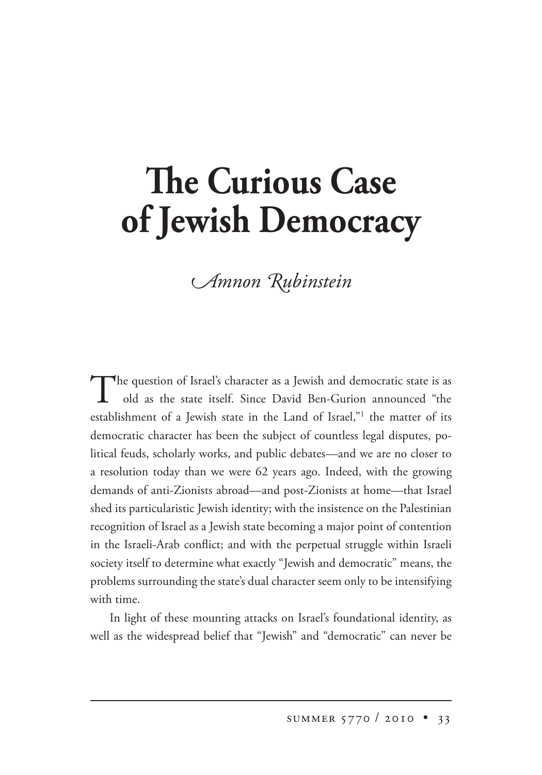## **The Curious Case of Jewish Democracy**

## *<u>Amnon Rubinstein</u>*

The question of Israel's character as a Jewish and democratic state is as old as the state itself. Since David Ben-Gurion announced "the establishment of a Jewish state in the Land of Israel,"<sup>1</sup> the matter of its democratic character has been the subject of countless legal disputes, political feuds, scholarly works, and public debates—and we are no closer to a resolution today than we were 62 years ago. Indeed, with the growing demands of anti-Zionists abroad—and post-Zionists at home—that Israel shed its particularistic Jewish identity; with the insistence on the Palestinian recognition of Israel as a Jewish state becoming a major point of contention in the Israeli-Arab conflict; and with the perpetual struggle within Israeli society itself to determine what exactly "Jewish and democratic" means, the problems surrounding the state's dual character seem only to be intensifying with time.

In light of these mounting attacks on Israel's foundational identity, as well as the widespread belief that "Jewish" and "democratic" can never be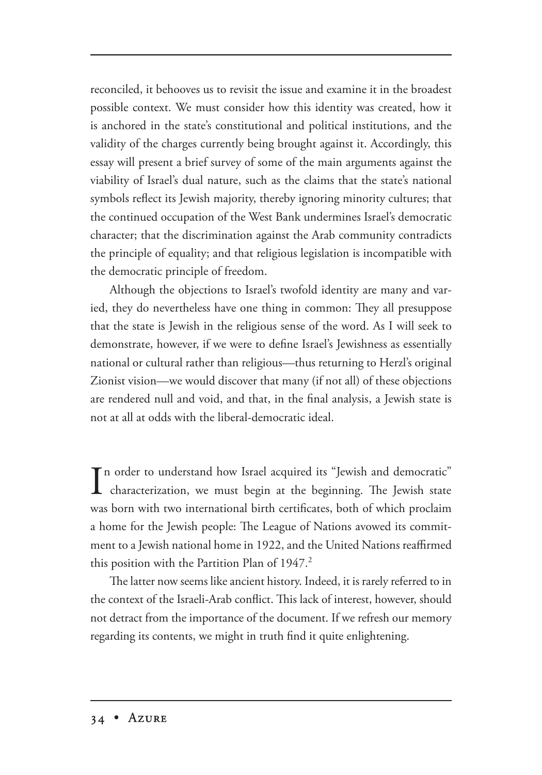reconciled, it behooves us to revisit the issue and examine it in the broadest possible context. We must consider how this identity was created, how it is anchored in the state's constitutional and political institutions, and the validity of the charges currently being brought against it. Accordingly, this essay will present a brief survey of some of the main arguments against the viability of Israel's dual nature, such as the claims that the state's national symbols reflect its Jewish majority, thereby ignoring minority cultures; that the continued occupation of the West Bank undermines Israel's democratic character; that the discrimination against the Arab community contradicts the principle of equality; and that religious legislation is incompatible with the democratic principle of freedom.

Although the objections to Israel's twofold identity are many and varied, they do nevertheless have one thing in common: They all presuppose that the state is Jewish in the religious sense of the word. As I will seek to demonstrate, however, if we were to define Israel's Jewishness as essentially national or cultural rather than religious—thus returning to Herzl's original Zionist vision—we would discover that many (if not all) of these objections are rendered null and void, and that, in the final analysis, a Jewish state is not at all at odds with the liberal-democratic ideal.

In order to understand how Israel acquired its "Jewish and democratic"<br>characterization, we must begin at the beginning. The Jewish state n order to understand how Israel acquired its "Jewish and democratic" was born with two international birth certificates, both of which proclaim a home for the Jewish people: The League of Nations avowed its commitment to a Jewish national home in 1922, and the United Nations reaffirmed this position with the Partition Plan of  $1947<sup>2</sup>$ .

The latter now seems like ancient history. Indeed, it is rarely referred to in the context of the Israeli-Arab conflict. This lack of interest, however, should not detract from the importance of the document. If we refresh our memory regarding its contents, we might in truth find it quite enlightening.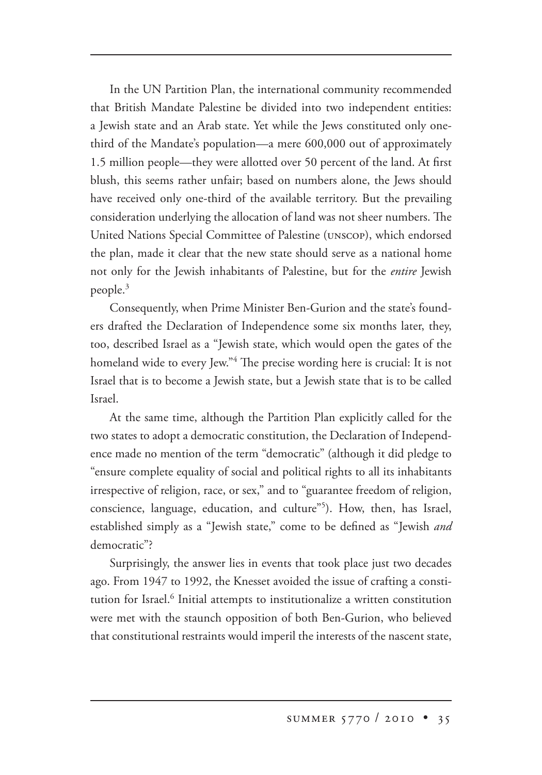In the UN Partition Plan, the international community recommended that British Mandate Palestine be divided into two independent entities: a Jewish state and an Arab state. Yet while the Jews constituted only onethird of the Mandate's population—a mere 600,000 out of approximately 1.5 million people—they were allotted over 50 percent of the land. At first blush, this seems rather unfair; based on numbers alone, the Jews should have received only one-third of the available territory. But the prevailing consideration underlying the allocation of land was not sheer numbers. The United Nations Special Committee of Palestine (UNSCOP), which endorsed the plan, made it clear that the new state should serve as a national home not only for the Jewish inhabitants of Palestine, but for the *entire* Jewish people.3

Consequently, when Prime Minister Ben-Gurion and the state's founders drafted the Declaration of Independence some six months later, they, too, described Israel as a "Jewish state, which would open the gates of the homeland wide to every Jew."<sup>4</sup> The precise wording here is crucial: It is not Israel that is to become a Jewish state, but a Jewish state that is to be called Israel.

At the same time, although the Partition Plan explicitly called for the two states to adopt a democratic constitution, the Declaration of Independence made no mention of the term "democratic" (although it did pledge to "ensure complete equality of social and political rights to all its inhabitants irrespective of religion, race, or sex," and to "guarantee freedom of religion, conscience, language, education, and culture"<sup>5</sup>). How, then, has Israel, established simply as a "Jewish state," come to be defined as "Jewish *and* democratic"?

Surprisingly, the answer lies in events that took place just two decades ago. From 1947 to 1992, the Knesset avoided the issue of crafting a constitution for Israel.<sup>6</sup> Initial attempts to institutionalize a written constitution were met with the staunch opposition of both Ben-Gurion, who believed that constitutional restraints would imperil the interests of the nascent state,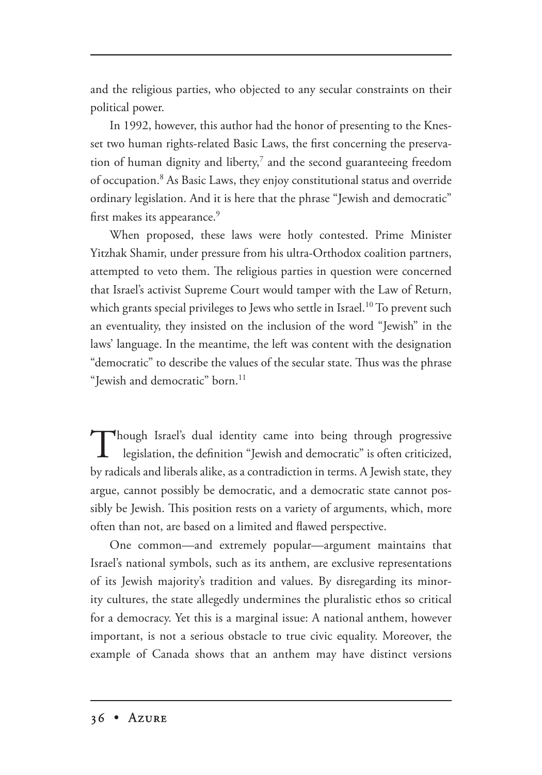and the religious parties, who objected to any secular constraints on their political power.

In 1992, however, this author had the honor of presenting to the Knesset two human rights-related Basic Laws, the first concerning the preservation of human dignity and liberty,<sup>7</sup> and the second guaranteeing freedom of occupation.<sup>8</sup> As Basic Laws, they enjoy constitutional status and override ordinary legislation. And it is here that the phrase "Jewish and democratic" first makes its appearance.<sup>9</sup>

When proposed, these laws were hotly contested. Prime Minister Yitzhak Shamir, under pressure from his ultra-Orthodox coalition partners, attempted to veto them. The religious parties in question were concerned that Israel's activist Supreme Court would tamper with the Law of Return, which grants special privileges to Jews who settle in Israel.<sup>10</sup> To prevent such an eventuality, they insisted on the inclusion of the word "Jewish" in the laws' language. In the meantime, the left was content with the designation "democratic" to describe the values of the secular state. Thus was the phrase "Iewish and democratic" born.<sup>11</sup>

Though Israel's dual identity came into being through progressive legislation, the definition "Jewish and democratic" is often criticized, by radicals and liberals alike, as a contradiction in terms. A Jewish state, they argue, cannot possibly be democratic, and a democratic state cannot possibly be Jewish. This position rests on a variety of arguments, which, more often than not, are based on a limited and flawed perspective.

One common—and extremely popular—argument maintains that Israel's national symbols, such as its anthem, are exclusive representations of its Jewish majority's tradition and values. By disregarding its minority cultures, the state allegedly undermines the pluralistic ethos so critical for a democracy. Yet this is a marginal issue: A national anthem, however important, is not a serious obstacle to true civic equality. Moreover, the example of Canada shows that an anthem may have distinct versions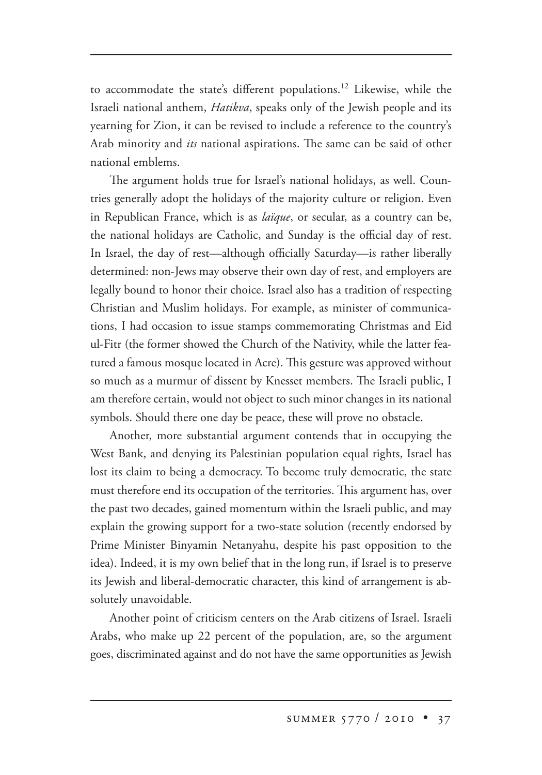to accommodate the state's different populations.12 Likewise, while the Israeli national anthem, *Hatikva*, speaks only of the Jewish people and its yearning for Zion, it can be revised to include a reference to the country's Arab minority and *its* national aspirations. The same can be said of other national emblems.

The argument holds true for Israel's national holidays, as well. Countries generally adopt the holidays of the majority culture or religion. Even in Republican France, which is as *laïque*, or secular, as a country can be, the national holidays are Catholic, and Sunday is the official day of rest. In Israel, the day of rest—although officially Saturday—is rather liberally determined: non-Jews may observe their own day of rest, and employers are legally bound to honor their choice. Israel also has a tradition of respecting Christian and Muslim holidays. For example, as minister of communications, I had occasion to issue stamps commemorating Christmas and Eid ul-Fitr (the former showed the Church of the Nativity, while the latter featured a famous mosque located in Acre). This gesture was approved without so much as a murmur of dissent by Knesset members. The Israeli public, I am therefore certain, would not object to such minor changes in its national symbols. Should there one day be peace, these will prove no obstacle.

Another, more substantial argument contends that in occupying the West Bank, and denying its Palestinian population equal rights, Israel has lost its claim to being a democracy. To become truly democratic, the state must therefore end its occupation of the territories. This argument has, over the past two decades, gained momentum within the Israeli public, and may explain the growing support for a two-state solution (recently endorsed by Prime Minister Binyamin Netanyahu, despite his past opposition to the idea). Indeed, it is my own belief that in the long run, if Israel is to preserve its Jewish and liberal-democratic character, this kind of arrangement is absolutely unavoidable.

Another point of criticism centers on the Arab citizens of Israel. Israeli Arabs, who make up 22 percent of the population, are, so the argument goes, discriminated against and do not have the same opportunities as Jewish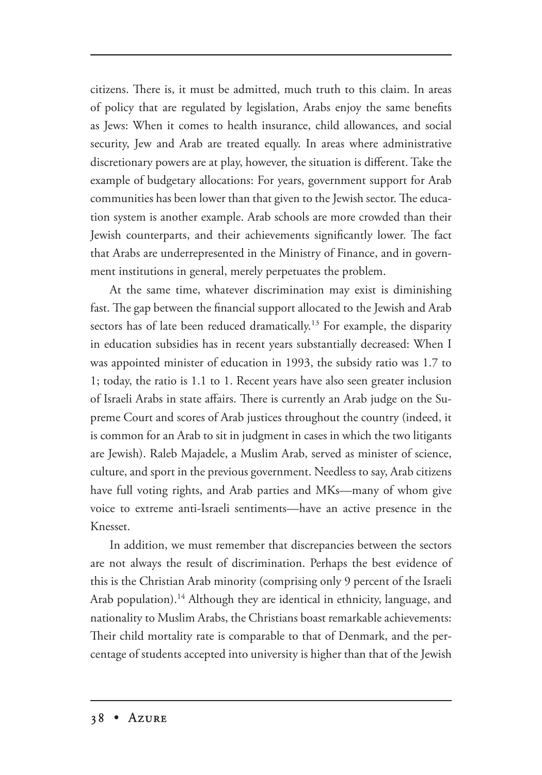citizens. There is, it must be admitted, much truth to this claim. In areas of policy that are regulated by legislation, Arabs enjoy the same benefits as Jews: When it comes to health insurance, child allowances, and social security, Jew and Arab are treated equally. In areas where administrative discretionary powers are at play, however, the situation is different. Take the example of budgetary allocations: For years, government support for Arab communities has been lower than that given to the Jewish sector. The education system is another example. Arab schools are more crowded than their Jewish counterparts, and their achievements significantly lower. The fact that Arabs are underrepresented in the Ministry of Finance, and in government institutions in general, merely perpetuates the problem.

At the same time, whatever discrimination may exist is diminishing fast. The gap between the financial support allocated to the Jewish and Arab sectors has of late been reduced dramatically.<sup>13</sup> For example, the disparity in education subsidies has in recent years substantially decreased: When I was appointed minister of education in 1993, the subsidy ratio was 1.7 to 1; today, the ratio is 1.1 to 1. Recent years have also seen greater inclusion of Israeli Arabs in state affairs. There is currently an Arab judge on the Supreme Court and scores of Arab justices throughout the country (indeed, it is common for an Arab to sit in judgment in cases in which the two litigants are Jewish). Raleb Majadele, a Muslim Arab, served as minister of science, culture, and sport in the previous government. Needless to say, Arab citizens have full voting rights, and Arab parties and MKs—many of whom give voice to extreme anti-Israeli sentiments—have an active presence in the Knesset.

In addition, we must remember that discrepancies between the sectors are not always the result of discrimination. Perhaps the best evidence of this is the Christian Arab minority (comprising only 9 percent of the Israeli Arab population).<sup>14</sup> Although they are identical in ethnicity, language, and nationality to Muslim Arabs, the Christians boast remarkable achievements: Their child mortality rate is comparable to that of Denmark, and the percentage of students accepted into university is higher than that of the Jewish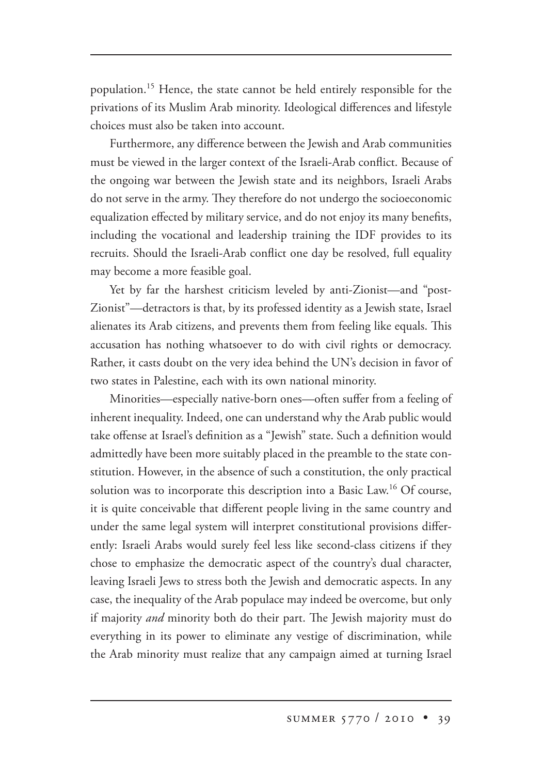population.15 Hence, the state cannot be held entirely responsible for the privations of its Muslim Arab minority. Ideological differences and lifestyle choices must also be taken into account.

Furthermore, any difference between the Jewish and Arab communities must be viewed in the larger context of the Israeli-Arab conflict. Because of the ongoing war between the Jewish state and its neighbors, Israeli Arabs do not serve in the army. They therefore do not undergo the socioeconomic equalization effected by military service, and do not enjoy its many benefits, including the vocational and leadership training the IDF provides to its recruits. Should the Israeli-Arab conflict one day be resolved, full equality may become a more feasible goal.

Yet by far the harshest criticism leveled by anti-Zionist—and "post-Zionist"—detractors is that, by its professed identity as a Jewish state, Israel alienates its Arab citizens, and prevents them from feeling like equals. This accusation has nothing whatsoever to do with civil rights or democracy. Rather, it casts doubt on the very idea behind the UN's decision in favor of two states in Palestine, each with its own national minority.

Minorities—especially native-born ones—often suffer from a feeling of inherent inequality. Indeed, one can understand why the Arab public would take offense at Israel's definition as a "Jewish" state. Such a definition would admittedly have been more suitably placed in the preamble to the state constitution. However, in the absence of such a constitution, the only practical solution was to incorporate this description into a Basic Law.<sup>16</sup> Of course, it is quite conceivable that different people living in the same country and under the same legal system will interpret constitutional provisions differently: Israeli Arabs would surely feel less like second-class citizens if they chose to emphasize the democratic aspect of the country's dual character, leaving Israeli Jews to stress both the Jewish and democratic aspects. In any case, the inequality of the Arab populace may indeed be overcome, but only if majority *and* minority both do their part. The Jewish majority must do everything in its power to eliminate any vestige of discrimination, while the Arab minority must realize that any campaign aimed at turning Israel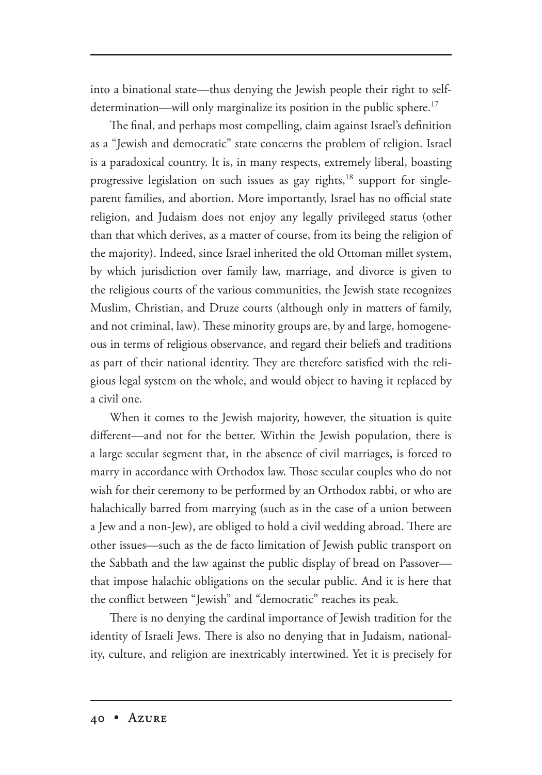into a binational state—thus denying the Jewish people their right to selfdetermination—will only marginalize its position in the public sphere.<sup>17</sup>

The final, and perhaps most compelling, claim against Israel's definition as a "Jewish and democratic" state concerns the problem of religion. Israel is a paradoxical country. It is, in many respects, extremely liberal, boasting progressive legislation on such issues as gay rights,<sup>18</sup> support for singleparent families, and abortion. More importantly, Israel has no official state religion, and Judaism does not enjoy any legally privileged status (other than that which derives, as a matter of course, from its being the religion of the majority). Indeed, since Israel inherited the old Ottoman millet system, by which jurisdiction over family law, marriage, and divorce is given to the religious courts of the various communities, the Jewish state recognizes Muslim, Christian, and Druze courts (although only in matters of family, and not criminal, law). These minority groups are, by and large, homogeneous in terms of religious observance, and regard their beliefs and traditions as part of their national identity. They are therefore satisfied with the religious legal system on the whole, and would object to having it replaced by a civil one.

When it comes to the Jewish majority, however, the situation is quite different—and not for the better. Within the Jewish population, there is a large secular segment that, in the absence of civil marriages, is forced to marry in accordance with Orthodox law. Those secular couples who do not wish for their ceremony to be performed by an Orthodox rabbi, or who are halachically barred from marrying (such as in the case of a union between a Jew and a non-Jew), are obliged to hold a civil wedding abroad. There are other issues—such as the de facto limitation of Jewish public transport on the Sabbath and the law against the public display of bread on Passover that impose halachic obligations on the secular public. And it is here that the conflict between "Jewish" and "democratic" reaches its peak.

There is no denying the cardinal importance of Jewish tradition for the identity of Israeli Jews. There is also no denying that in Judaism, nationality, culture, and religion are inextricably intertwined. Yet it is precisely for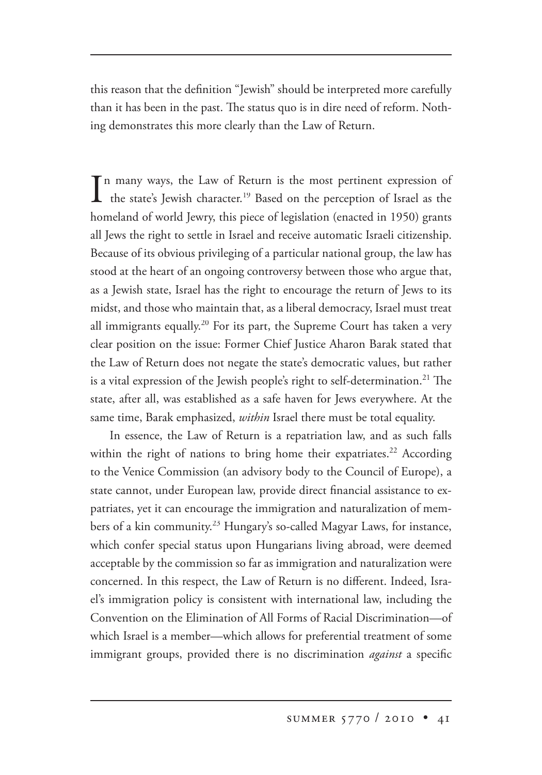this reason that the definition "Jewish" should be interpreted more carefully than it has been in the past. The status quo is in dire need of reform. Nothing demonstrates this more clearly than the Law of Return.

In many ways, the Law of Return is the most pertinent expression of<br>the state's Jewish character.<sup>19</sup> Based on the perception of Israel as the n many ways, the Law of Return is the most pertinent expression of homeland of world Jewry, this piece of legislation (enacted in 1950) grants all Jews the right to settle in Israel and receive automatic Israeli citizenship. Because of its obvious privileging of a particular national group, the law has stood at the heart of an ongoing controversy between those who argue that, as a Jewish state, Israel has the right to encourage the return of Jews to its midst, and those who maintain that, as a liberal democracy, Israel must treat all immigrants equally.<sup>20</sup> For its part, the Supreme Court has taken a very clear position on the issue: Former Chief Justice Aharon Barak stated that the Law of Return does not negate the state's democratic values, but rather is a vital expression of the Jewish people's right to self-determination.<sup>21</sup> The state, after all, was established as a safe haven for Jews everywhere. At the same time, Barak emphasized, *within* Israel there must be total equality.

In essence, the Law of Return is a repatriation law, and as such falls within the right of nations to bring home their expatriates.<sup>22</sup> According to the Venice Commission (an advisory body to the Council of Europe), a state cannot, under European law, provide direct financial assistance to expatriates, yet it can encourage the immigration and naturalization of members of a kin community.<sup>23</sup> Hungary's so-called Magyar Laws, for instance, which confer special status upon Hungarians living abroad, were deemed acceptable by the commission so far as immigration and naturalization were concerned. In this respect, the Law of Return is no different. Indeed, Israel's immigration policy is consistent with international law, including the Convention on the Elimination of All Forms of Racial Discrimination—of which Israel is a member—which allows for preferential treatment of some immigrant groups, provided there is no discrimination *against* a specific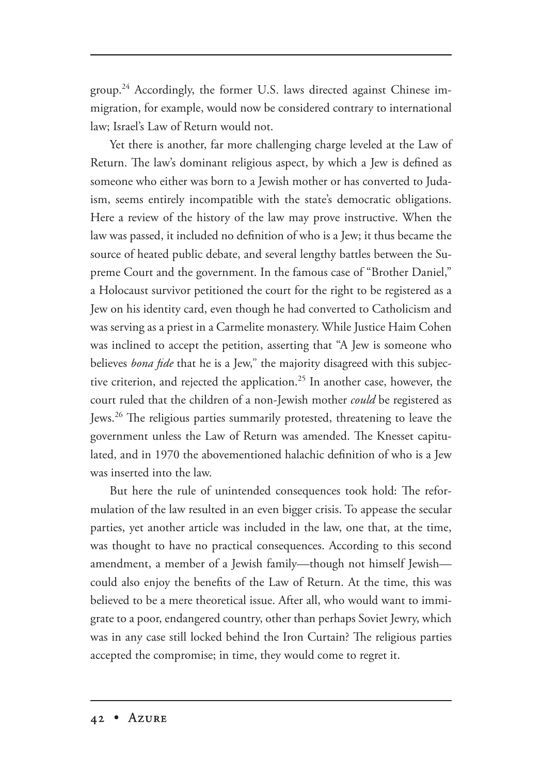group.<sup>24</sup> Accordingly, the former U.S. laws directed against Chinese immigration, for example, would now be considered contrary to international law; Israel's Law of Return would not.

Yet there is another, far more challenging charge leveled at the Law of Return. The law's dominant religious aspect, by which a Jew is defined as someone who either was born to a Jewish mother or has converted to Judaism, seems entirely incompatible with the state's democratic obligations. Here a review of the history of the law may prove instructive. When the law was passed, it included no definition of who is a Jew; it thus became the source of heated public debate, and several lengthy battles between the Supreme Court and the government. In the famous case of "Brother Daniel," a Holocaust survivor petitioned the court for the right to be registered as a Jew on his identity card, even though he had converted to Catholicism and was serving as a priest in a Carmelite monastery. While Justice Haim Cohen was inclined to accept the petition, asserting that "A Jew is someone who believes *bona fide* that he is a Jew," the majority disagreed with this subjective criterion, and rejected the application.<sup>25</sup> In another case, however, the court ruled that the children of a non-Jewish mother *could* be registered as Jews.<sup>26</sup> The religious parties summarily protested, threatening to leave the government unless the Law of Return was amended. The Knesset capitulated, and in 1970 the abovementioned halachic definition of who is a Jew was inserted into the law.

But here the rule of unintended consequences took hold: The reformulation of the law resulted in an even bigger crisis. To appease the secular parties, yet another article was included in the law, one that, at the time, was thought to have no practical consequences. According to this second amendment, a member of a Jewish family—though not himself Jewish could also enjoy the benefits of the Law of Return. At the time, this was believed to be a mere theoretical issue. After all, who would want to immigrate to a poor, endangered country, other than perhaps Soviet Jewry, which was in any case still locked behind the Iron Curtain? The religious parties accepted the compromise; in time, they would come to regret it.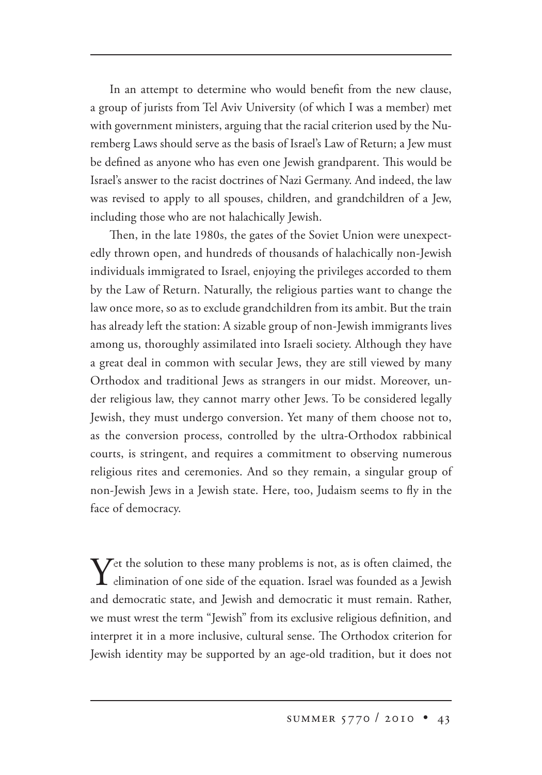In an attempt to determine who would benefit from the new clause, a group of jurists from Tel Aviv University (of which I was a member) met with government ministers, arguing that the racial criterion used by the Nuremberg Laws should serve as the basis of Israel's Law of Return; a Jew must be defined as anyone who has even one Jewish grandparent. This would be Israel's answer to the racist doctrines of Nazi Germany. And indeed, the law was revised to apply to all spouses, children, and grandchildren of a Jew, including those who are not halachically Jewish.

Then, in the late 1980s, the gates of the Soviet Union were unexpectedly thrown open, and hundreds of thousands of halachically non-Jewish individuals immigrated to Israel, enjoying the privileges accorded to them by the Law of Return. Naturally, the religious parties want to change the law once more, so as to exclude grandchildren from its ambit. But the train has already left the station: A sizable group of non-Jewish immigrants lives among us, thoroughly assimilated into Israeli society. Although they have a great deal in common with secular Jews, they are still viewed by many Orthodox and traditional Jews as strangers in our midst. Moreover, under religious law, they cannot marry other Jews. To be considered legally Jewish, they must undergo conversion. Yet many of them choose not to, as the conversion process, controlled by the ultra-Orthodox rabbinical courts, is stringent, and requires a commitment to observing numerous religious rites and ceremonies. And so they remain, a singular group of non-Jewish Jews in a Jewish state. Here, too, Judaism seems to fly in the face of democracy.

 $\boldsymbol{Y}$ et the solution to these many problems is not, as is often claimed, the elimination of one side of the equation. Israel was founded as a Jewish and democratic state, and Jewish and democratic it must remain. Rather, we must wrest the term "Jewish" from its exclusive religious definition, and interpret it in a more inclusive, cultural sense. The Orthodox criterion for Jewish identity may be supported by an age-old tradition, but it does not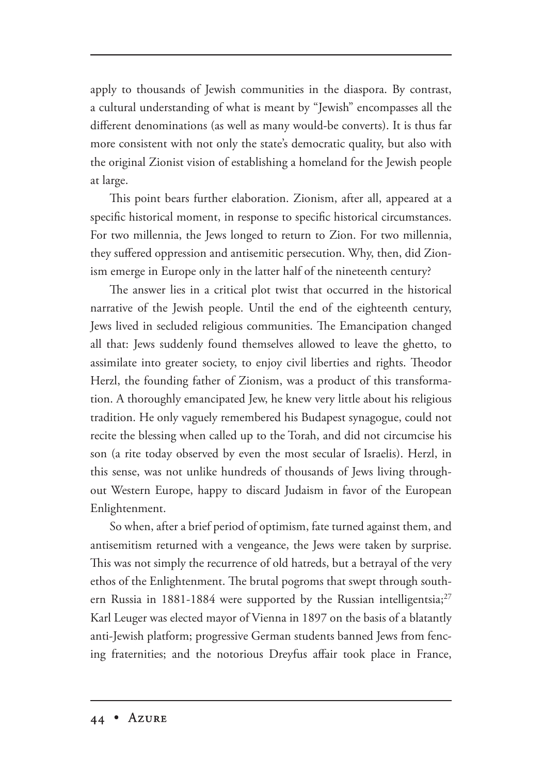apply to thousands of Jewish communities in the diaspora. By contrast, a cultural understanding of what is meant by "Jewish" encompasses all the different denominations (as well as many would-be converts). It is thus far more consistent with not only the state's democratic quality, but also with the original Zionist vision of establishing a homeland for the Jewish people at large.

This point bears further elaboration. Zionism, after all, appeared at a specific historical moment, in response to specific historical circumstances. For two millennia, the Jews longed to return to Zion. For two millennia, they suffered oppression and antisemitic persecution. Why, then, did Zionism emerge in Europe only in the latter half of the nineteenth century?

The answer lies in a critical plot twist that occurred in the historical narrative of the Jewish people. Until the end of the eighteenth century, Jews lived in secluded religious communities. The Emancipation changed all that: Jews suddenly found themselves allowed to leave the ghetto, to assimilate into greater society, to enjoy civil liberties and rights. Theodor Herzl, the founding father of Zionism, was a product of this transformation. A thoroughly emancipated Jew, he knew very little about his religious tradition. He only vaguely remembered his Budapest synagogue, could not recite the blessing when called up to the Torah, and did not circumcise his son (a rite today observed by even the most secular of Israelis). Herzl, in this sense, was not unlike hundreds of thousands of Jews living throughout Western Europe, happy to discard Judaism in favor of the European Enlightenment.

So when, after a brief period of optimism, fate turned against them, and antisemitism returned with a vengeance, the Jews were taken by surprise. This was not simply the recurrence of old hatreds, but a betrayal of the very ethos of the Enlightenment. The brutal pogroms that swept through southern Russia in 1881-1884 were supported by the Russian intelligentsia;<sup>27</sup> Karl Leuger was elected mayor of Vienna in 1897 on the basis of a blatantly anti-Jewish platform; progressive German students banned Jews from fencing fraternities; and the notorious Dreyfus affair took place in France,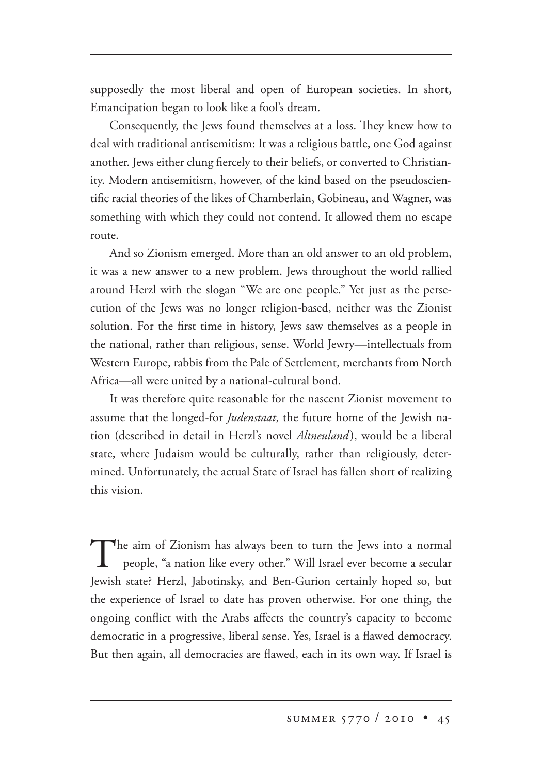supposedly the most liberal and open of European societies. In short, Emancipation began to look like a fool's dream.

Consequently, the Jews found themselves at a loss. They knew how to deal with traditional antisemitism: It was a religious battle, one God against another. Jews either clung fiercely to their beliefs, or converted to Christianity. Modern antisemitism, however, of the kind based on the pseudoscientific racial theories of the likes of Chamberlain, Gobineau, and Wagner, was something with which they could not contend. It allowed them no escape route.

And so Zionism emerged. More than an old answer to an old problem, it was a new answer to a new problem. Jews throughout the world rallied around Herzl with the slogan "We are one people." Yet just as the persecution of the Jews was no longer religion-based, neither was the Zionist solution. For the first time in history, Jews saw themselves as a people in the national, rather than religious, sense. World Jewry—intellectuals from Western Europe, rabbis from the Pale of Settlement, merchants from North Africa—all were united by a national-cultural bond.

It was therefore quite reasonable for the nascent Zionist movement to assume that the longed-for *Judenstaat*, the future home of the Jewish nation (described in detail in Herzl's novel *Altneuland*), would be a liberal state, where Judaism would be culturally, rather than religiously, determined. Unfortunately, the actual State of Israel has fallen short of realizing this vision.

The aim of Zionism has always been to turn the Jews into a normal people, "a nation like every other." Will Israel ever become a secular Jewish state? Herzl, Jabotinsky, and Ben-Gurion certainly hoped so, but the experience of Israel to date has proven otherwise. For one thing, the ongoing conflict with the Arabs affects the country's capacity to become democratic in a progressive, liberal sense. Yes, Israel is a flawed democracy. But then again, all democracies are flawed, each in its own way. If Israel is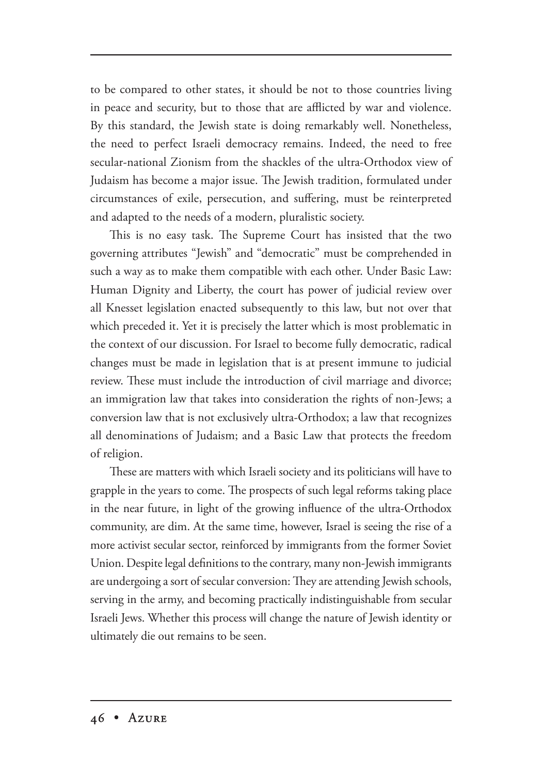to be compared to other states, it should be not to those countries living in peace and security, but to those that are afflicted by war and violence. By this standard, the Jewish state is doing remarkably well. Nonetheless, the need to perfect Israeli democracy remains. Indeed, the need to free secular-national Zionism from the shackles of the ultra-Orthodox view of Judaism has become a major issue. The Jewish tradition, formulated under circumstances of exile, persecution, and suffering, must be reinterpreted and adapted to the needs of a modern, pluralistic society.

This is no easy task. The Supreme Court has insisted that the two governing attributes "Jewish" and "democratic" must be comprehended in such a way as to make them compatible with each other. Under Basic Law: Human Dignity and Liberty, the court has power of judicial review over all Knesset legislation enacted subsequently to this law, but not over that which preceded it. Yet it is precisely the latter which is most problematic in the context of our discussion. For Israel to become fully democratic, radical changes must be made in legislation that is at present immune to judicial review. These must include the introduction of civil marriage and divorce; an immigration law that takes into consideration the rights of non-Jews; a conversion law that is not exclusively ultra-Orthodox; a law that recognizes all denominations of Judaism; and a Basic Law that protects the freedom of religion.

These are matters with which Israeli society and its politicians will have to grapple in the years to come. The prospects of such legal reforms taking place in the near future, in light of the growing influence of the ultra-Orthodox community, are dim. At the same time, however, Israel is seeing the rise of a more activist secular sector, reinforced by immigrants from the former Soviet Union. Despite legal definitions to the contrary, many non-Jewish immigrants are undergoing a sort of secular conversion: They are attending Jewish schools, serving in the army, and becoming practically indistinguishable from secular Israeli Jews. Whether this process will change the nature of Jewish identity or ultimately die out remains to be seen.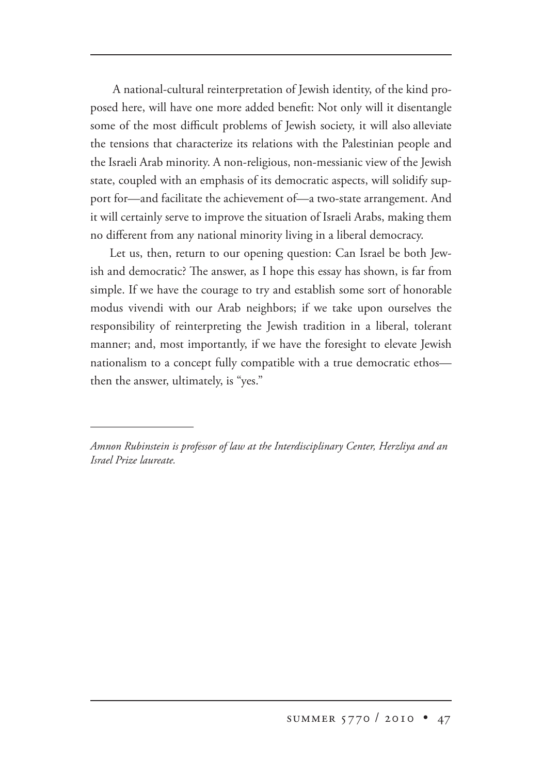A national-cultural reinterpretation of Jewish identity, of the kind proposed here, will have one more added benefit: Not only will it disentangle some of the most difficult problems of Jewish society, it will also alleviate the tensions that characterize its relations with the Palestinian people and the Israeli Arab minority. A non-religious, non-messianic view of the Jewish state, coupled with an emphasis of its democratic aspects, will solidify support for—and facilitate the achievement of—a two-state arrangement. And it will certainly serve to improve the situation of Israeli Arabs, making them no different from any national minority living in a liberal democracy.

Let us, then, return to our opening question: Can Israel be both Jewish and democratic? The answer, as I hope this essay has shown, is far from simple. If we have the courage to try and establish some sort of honorable modus vivendi with our Arab neighbors; if we take upon ourselves the responsibility of reinterpreting the Jewish tradition in a liberal, tolerant manner; and, most importantly, if we have the foresight to elevate Jewish nationalism to a concept fully compatible with a true democratic ethos then the answer, ultimately, is "yes."

*Amnon Rubinstein is professor of law at the Interdisciplinary Center, Herzliya and an Israel Prize laureate.*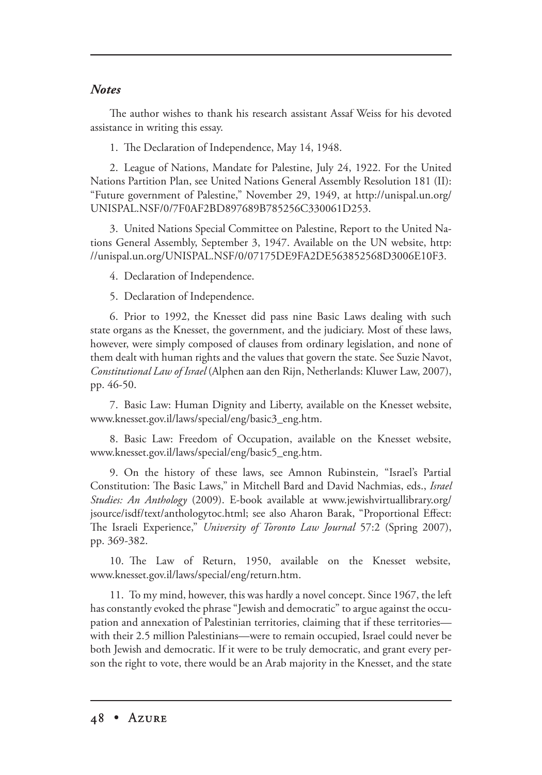## *Notes*

The author wishes to thank his research assistant Assaf Weiss for his devoted assistance in writing this essay.

1. The Declaration of Independence, May 14, 1948.

2. League of Nations, Mandate for Palestine, July 24, 1922. For the United Nations Partition Plan, see United Nations General Assembly Resolution 181 (II): "Future government of Palestine," November 29, 1949, at http://unispal.un.org/ UNISPAL.NSF/0/7F0AF2BD897689B785256C330061D253.

3. United Nations Special Committee on Palestine, Report to the United Nations General Assembly, September 3, 1947. Available on the UN website, http: //unispal.un.org/UNISPAL.NSF/0/07175DE9FA2DE563852568D3006E10F3.

4. Declaration of Independence.

5. Declaration of Independence.

6. Prior to 1992, the Knesset did pass nine Basic Laws dealing with such state organs as the Knesset, the government, and the judiciary. Most of these laws, however, were simply composed of clauses from ordinary legislation, and none of them dealt with human rights and the values that govern the state. See Suzie Navot, *Constitutional Law of Israel* (Alphen aan den Rijn, Netherlands: Kluwer Law, 2007), pp. 46-50.

7. Basic Law: Human Dignity and Liberty, available on the Knesset website, www.knesset.gov.il/laws/special/eng/basic3\_eng.htm.

8. Basic Law: Freedom of Occupation, available on the Knesset website, www.knesset.gov.il/laws/special/eng/basic5\_eng.htm.

9. On the history of these laws, see Amnon Rubinstein*,* "Israel's Partial Constitution: The Basic Laws," in Mitchell Bard and David Nachmias, eds., *Israel Studies: An Anthology* (2009). E-book available at www.jewishvirtuallibrary.org/ jsource/isdf/text/anthologytoc.html; see also Aharon Barak, "Proportional Effect: e Israeli Experience," *University of Toronto Law Journal* 57:2 (Spring 2007), pp. 369-382.

10. The Law of Return, 1950, available on the Knesset website, www.knesset.gov.il/laws/special/eng/return.htm.

11. To my mind, however, this was hardly a novel concept. Since 1967, the left has constantly evoked the phrase "Jewish and democratic" to argue against the occupation and annexation of Palestinian territories, claiming that if these territories with their 2.5 million Palestinians—were to remain occupied, Israel could never be both Jewish and democratic. If it were to be truly democratic, and grant every person the right to vote, there would be an Arab majority in the Knesset, and the state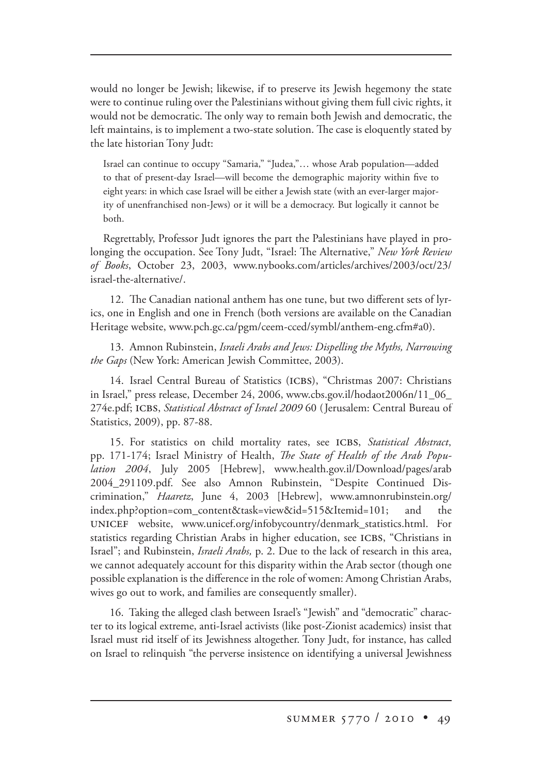would no longer be Jewish; likewise, if to preserve its Jewish hegemony the state were to continue ruling over the Palestinians without giving them full civic rights, it would not be democratic. The only way to remain both Jewish and democratic, the left maintains, is to implement a two-state solution. The case is eloquently stated by the late historian Tony Judt:

Israel can continue to occupy "Samaria," "Judea,"… whose Arab population—added to that of present-day Israel—will become the demographic majority within five to eight years: in which case Israel will be either a Jewish state (with an ever-larger majority of unenfranchised non-Jews) or it will be a democracy. But logically it cannot be both.

Regrettably, Professor Judt ignores the part the Palestinians have played in prolonging the occupation. See Tony Judt, "Israel: The Alternative," *New York Review of Books*, October 23, 2003, www.nybooks.com/articles/archives/2003/oct/23/ israel-the-alternative/.

12. The Canadian national anthem has one tune, but two different sets of lyrics, one in English and one in French (both versions are available on the Canadian Heritage website, www.pch.gc.ca/pgm/ceem-cced/symbl/anthem-eng.cfm#a0).

13. Amnon Rubinstein, *Israeli Arabs and Jews: Dispelling the Myths, Narrowing the Gaps* (New York: American Jewish Committee, 2003). 2003).

14. Israel Central Bureau of Statistics (ICBS), "Christmas 2007: Christians in Israel," press release, December 24, 2006, www.cbs.gov.il/hodaot2006n/11\_06\_ 274e.pdf; ICBS, *Statistical Abstract of Israel 2009* 60 (Jerusalem: Central Bureau of Statistics, 2009), pp. 87-88.

15. For statistics on child mortality rates, see ICBS, Statistical Abstract, pp. 171-174; Israel Ministry of Health, *The State of Health of the Arab Population 2004* , July 2005 [Hebrew], www.health.gov.il/Download/pages/arab , 2004\_291109.pdf. See also Amnon Rubinstein, "Despite Continued Discrimination," *Haaretz*, June 4, 2003 [Hebrew], www.amnonrubinstein.org/ index.php?option=com\_content&task=view&id=515&Itemid=101; and the website, www.unicef.org/infobycountry/denmark\_statistics.html. For statistics regarding Christian Arabs in higher education, see ICBS, "Christians in Israel"; and Rubinstein, *Israeli Arabs,* p. 2. Due to the lack of research in this area, we cannot adequately account for this disparity within the Arab sector (though one possible explanation is the difference in the role of women: Among Christian Arabs, wives go out to work, and families are consequently smaller).

16. Taking the alleged clash between Israel's "Jewish" and "democratic" character to its logical extreme, anti-Israel activists (like post-Zionist academics) insist that Israel must rid itself of its Jewishness altogether. Tony Judt, for instance, has called on Israel to relinquish "the perverse insistence on identifying a universal Jewishness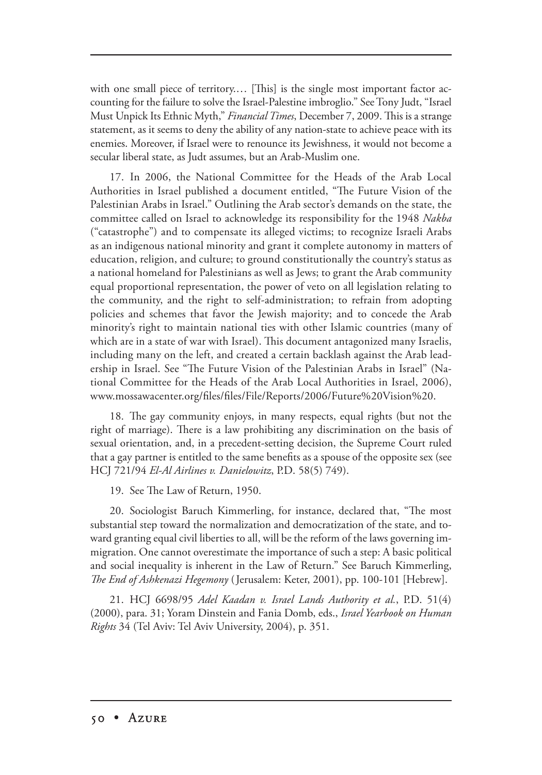with one small piece of territory.... [This] is the single most important factor accounting for the failure to solve the Israel-Palestine imbroglio." See Tony Judt, "Israel Must Unpick Its Ethnic Myth," *Financial Times*, December 7, 2009. This is a strange statement, as it seems to deny the ability of any nation-state to achieve peace with its enemies. Moreover, if Israel were to renounce its Jewishness, it would not become a secular liberal state, as Judt assumes, but an Arab-Muslim one.

17. In 2006, the National Committee for the Heads of the Arab Local Authorities in Israel published a document entitled, "The Future Vision of the Palestinian Arabs in Israel." Outlining the Arab sector's demands on the state, the committee called on Israel to acknowledge its responsibility for the 1948 *Nakba* ("catastrophe") and to compensate its alleged victims; to recognize Israeli Arabs as an indigenous national minority and grant it complete autonomy in matters of education, religion, and culture; to ground constitutionally the country's status as a national homeland for Palestinians as well as Jews; to grant the Arab community equal proportional representation, the power of veto on all legislation relating to the community, and the right to self-administration; to refrain from adopting policies and schemes that favor the Jewish majority; and to concede the Arab minority's right to maintain national ties with other Islamic countries (many of which are in a state of war with Israel). This document antagonized many Israelis, including many on the left, and created a certain backlash against the Arab leadership in Israel. See "The Future Vision of the Palestinian Arabs in Israel" (National Committee for the Heads of the Arab Local Authorities in Israel, 2006), www.mossawacenter.org/files/files/File/Reports/2006/Future%20Vision%20.

18. The gay community enjoys, in many respects, equal rights (but not the right of marriage). There is a law prohibiting any discrimination on the basis of sexual orientation, and, in a precedent-setting decision, the Supreme Court ruled that a gay partner is entitled to the same benefits as a spouse of the opposite sex (see HCJ 721/94 *El-Al Airlines v. Danielowitz*, P.D. 58(5) 749).

19. See The Law of Return, 1950.

20. Sociologist Baruch Kimmerling, for instance, declared that, "The most substantial step toward the normalization and democratization of the state, and toward granting equal civil liberties to all, will be the reform of the laws governing immigration. One cannot overestimate the importance of such a step: A basic political and social inequality is inherent in the Law of Return." See Baruch Kimmerling, *The End of Ashkenazi Hegemony* (Jerusalem: Keter, 2001), pp. 100-101 [Hebrew].

21. HCJ 6698/95 *Adel Kaadan v. Israel Lands Authority et al.*, P.D. 51(4) (2000), para. 31; Yoram Dinstein and Fania Domb, eds., *Israel Yearbook on Human Rights* 34 (Tel Aviv: Tel Aviv University, 2004), p. 351.